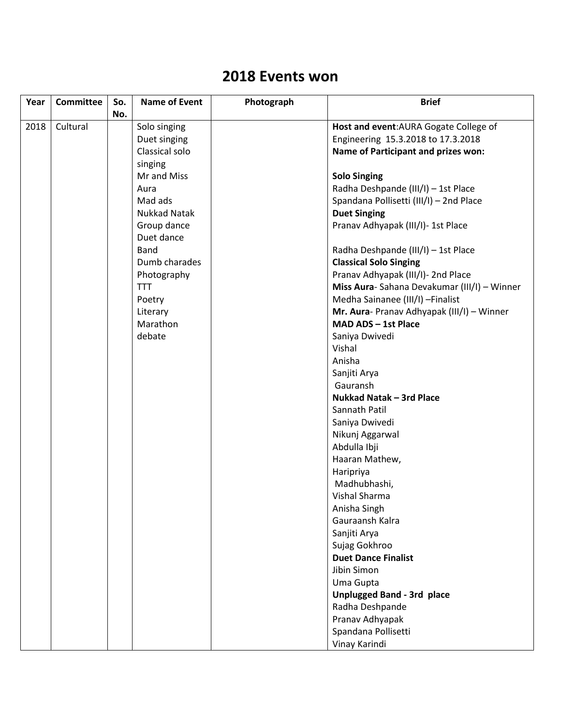## **2018 Events won**

| Year | <b>Committee</b> | So. | <b>Name of Event</b> | Photograph | <b>Brief</b>                                |
|------|------------------|-----|----------------------|------------|---------------------------------------------|
|      |                  | No. |                      |            |                                             |
| 2018 | Cultural         |     | Solo singing         |            | Host and event: AURA Gogate College of      |
|      |                  |     | Duet singing         |            | Engineering 15.3.2018 to 17.3.2018          |
|      |                  |     | Classical solo       |            | <b>Name of Participant and prizes won:</b>  |
|      |                  |     | singing              |            |                                             |
|      |                  |     | Mr and Miss          |            | <b>Solo Singing</b>                         |
|      |                  |     | Aura                 |            | Radha Deshpande (III/I) - 1st Place         |
|      |                  |     | Mad ads              |            | Spandana Pollisetti (III/I) - 2nd Place     |
|      |                  |     | <b>Nukkad Natak</b>  |            | <b>Duet Singing</b>                         |
|      |                  |     | Group dance          |            | Pranav Adhyapak (III/I)- 1st Place          |
|      |                  |     | Duet dance           |            |                                             |
|      |                  |     | <b>Band</b>          |            | Radha Deshpande (III/I) - 1st Place         |
|      |                  |     | Dumb charades        |            | <b>Classical Solo Singing</b>               |
|      |                  |     | Photography          |            | Pranav Adhyapak (III/I)- 2nd Place          |
|      |                  |     | <b>TTT</b>           |            | Miss Aura-Sahana Devakumar (III/I) - Winner |
|      |                  |     | Poetry               |            | Medha Sainanee (III/I) - Finalist           |
|      |                  |     | Literary             |            | Mr. Aura- Pranav Adhyapak (III/I) - Winner  |
|      |                  |     | Marathon             |            | MAD ADS - 1st Place                         |
|      |                  |     | debate               |            | Saniya Dwivedi                              |
|      |                  |     |                      |            | Vishal                                      |
|      |                  |     |                      |            | Anisha                                      |
|      |                  |     |                      |            | Sanjiti Arya                                |
|      |                  |     |                      |            | Gauransh                                    |
|      |                  |     |                      |            | Nukkad Natak - 3rd Place                    |
|      |                  |     |                      |            | Sannath Patil                               |
|      |                  |     |                      |            | Saniya Dwivedi                              |
|      |                  |     |                      |            | Nikunj Aggarwal                             |
|      |                  |     |                      |            | Abdulla Ibji                                |
|      |                  |     |                      |            | Haaran Mathew,                              |
|      |                  |     |                      |            | Haripriya                                   |
|      |                  |     |                      |            | Madhubhashi,                                |
|      |                  |     |                      |            | Vishal Sharma                               |
|      |                  |     |                      |            | Anisha Singh                                |
|      |                  |     |                      |            | Gauraansh Kalra                             |
|      |                  |     |                      |            | Sanjiti Arya                                |
|      |                  |     |                      |            | Sujag Gokhroo                               |
|      |                  |     |                      |            | <b>Duet Dance Finalist</b>                  |
|      |                  |     |                      |            | Jibin Simon                                 |
|      |                  |     |                      |            | Uma Gupta                                   |
|      |                  |     |                      |            | <b>Unplugged Band - 3rd place</b>           |
|      |                  |     |                      |            | Radha Deshpande                             |
|      |                  |     |                      |            | Pranav Adhyapak                             |
|      |                  |     |                      |            | Spandana Pollisetti                         |
|      |                  |     |                      |            | Vinay Karindi                               |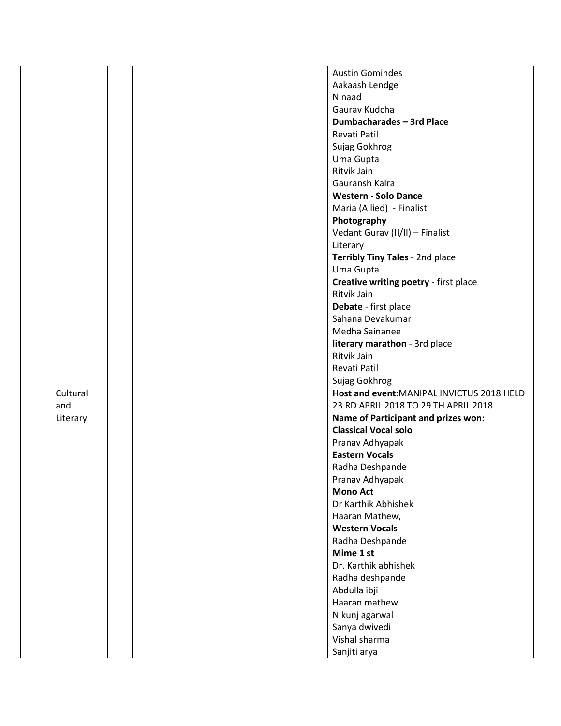|          |  | <b>Austin Gomindes</b>                                      |
|----------|--|-------------------------------------------------------------|
|          |  | Aakaash Lendge                                              |
|          |  | Ninaad                                                      |
|          |  | Gaurav Kudcha                                               |
|          |  | Dumbacharades - 3rd Place                                   |
|          |  | Revati Patil                                                |
|          |  | Sujag Gokhrog                                               |
|          |  | Uma Gupta                                                   |
|          |  | Ritvik Jain                                                 |
|          |  | Gauransh Kalra                                              |
|          |  | <b>Western - Solo Dance</b>                                 |
|          |  | Maria (Allied) - Finalist                                   |
|          |  | Photography                                                 |
|          |  | Vedant Gurav (II/II) - Finalist                             |
|          |  | Literary                                                    |
|          |  | Terribly Tiny Tales - 2nd place                             |
|          |  | Uma Gupta                                                   |
|          |  | Creative writing poetry - first place                       |
|          |  | Ritvik Jain                                                 |
|          |  | Debate - first place                                        |
|          |  | Sahana Devakumar                                            |
|          |  | Medha Sainanee                                              |
|          |  | literary marathon - 3rd place                               |
|          |  | Ritvik Jain                                                 |
|          |  | Revati Patil                                                |
|          |  |                                                             |
| Cultural |  | Sujag Gokhrog<br>Host and event: MANIPAL INVICTUS 2018 HELD |
| and      |  | 23 RD APRIL 2018 TO 29 TH APRIL 2018                        |
| Literary |  | Name of Participant and prizes won:                         |
|          |  | <b>Classical Vocal solo</b>                                 |
|          |  | Pranav Adhyapak                                             |
|          |  | <b>Eastern Vocals</b>                                       |
|          |  |                                                             |
|          |  | Radha Deshpande                                             |
|          |  | Pranav Adhyapak<br><b>Mono Act</b>                          |
|          |  | Dr Karthik Abhishek                                         |
|          |  |                                                             |
|          |  | Haaran Mathew,<br><b>Western Vocals</b>                     |
|          |  |                                                             |
|          |  | Radha Deshpande<br>Mime 1 st                                |
|          |  |                                                             |
|          |  | Dr. Karthik abhishek                                        |
|          |  | Radha deshpande                                             |
|          |  | Abdulla ibji                                                |
|          |  | Haaran mathew                                               |
|          |  | Nikunj agarwal                                              |
|          |  | Sanya dwivedi                                               |
|          |  |                                                             |
|          |  | Vishal sharma<br>Sanjiti arya                               |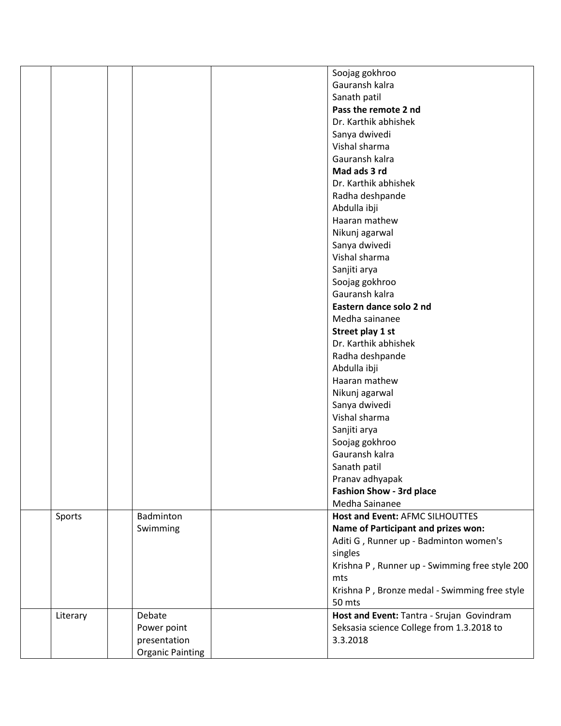|          |                         | Soojag gokhroo                                 |
|----------|-------------------------|------------------------------------------------|
|          |                         | Gauransh kalra                                 |
|          |                         | Sanath patil                                   |
|          |                         | Pass the remote 2 nd                           |
|          |                         | Dr. Karthik abhishek                           |
|          |                         | Sanya dwivedi                                  |
|          |                         |                                                |
|          |                         | Vishal sharma                                  |
|          |                         | Gauransh kalra                                 |
|          |                         | Mad ads 3 rd                                   |
|          |                         | Dr. Karthik abhishek                           |
|          |                         | Radha deshpande                                |
|          |                         | Abdulla ibji                                   |
|          |                         | Haaran mathew                                  |
|          |                         | Nikunj agarwal                                 |
|          |                         | Sanya dwivedi                                  |
|          |                         | Vishal sharma                                  |
|          |                         | Sanjiti arya                                   |
|          |                         | Soojag gokhroo                                 |
|          |                         | Gauransh kalra                                 |
|          |                         |                                                |
|          |                         | Eastern dance solo 2 nd                        |
|          |                         | Medha sainanee                                 |
|          |                         | Street play 1 st                               |
|          |                         | Dr. Karthik abhishek                           |
|          |                         | Radha deshpande                                |
|          |                         | Abdulla ibji                                   |
|          |                         | Haaran mathew                                  |
|          |                         | Nikunj agarwal                                 |
|          |                         | Sanya dwivedi                                  |
|          |                         | Vishal sharma                                  |
|          |                         | Sanjiti arya                                   |
|          |                         | Soojag gokhroo                                 |
|          |                         | Gauransh kalra                                 |
|          |                         | Sanath patil                                   |
|          |                         |                                                |
|          |                         | Pranav adhyapak                                |
|          |                         | <b>Fashion Show - 3rd place</b>                |
|          |                         | Medha Sainanee                                 |
| Sports   | Badminton               | Host and Event: AFMC SILHOUTTES                |
|          | Swimming                | Name of Participant and prizes won:            |
|          |                         | Aditi G, Runner up - Badminton women's         |
|          |                         | singles                                        |
|          |                         | Krishna P, Runner up - Swimming free style 200 |
|          |                         | mts                                            |
|          |                         | Krishna P, Bronze medal - Swimming free style  |
|          |                         | 50 mts                                         |
| Literary | Debate                  | Host and Event: Tantra - Srujan Govindram      |
|          | Power point             | Seksasia science College from 1.3.2018 to      |
|          | presentation            | 3.3.2018                                       |
|          | <b>Organic Painting</b> |                                                |
|          |                         |                                                |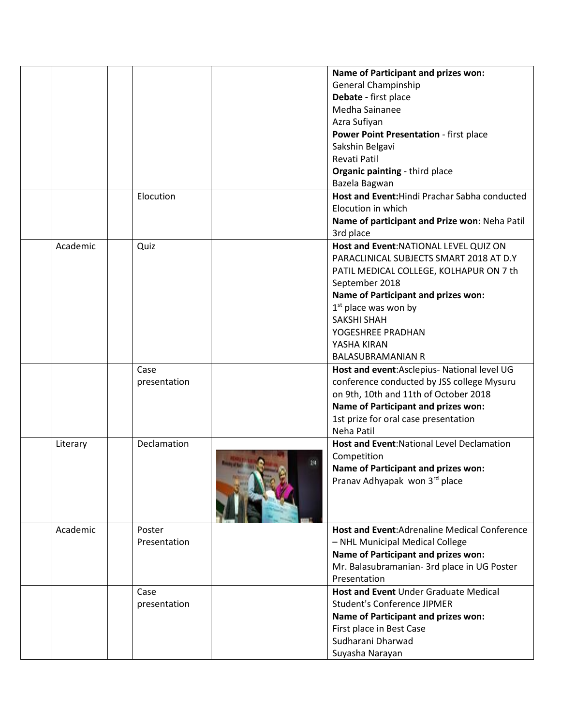|          |              | Name of Participant and prizes won:               |
|----------|--------------|---------------------------------------------------|
|          |              | <b>General Champinship</b>                        |
|          |              | Debate - first place                              |
|          |              | Medha Sainanee                                    |
|          |              | Azra Sufiyan                                      |
|          |              | Power Point Presentation - first place            |
|          |              | Sakshin Belgavi                                   |
|          |              | Revati Patil                                      |
|          |              | Organic painting - third place                    |
|          |              | Bazela Bagwan                                     |
|          | Elocution    | Host and Event: Hindi Prachar Sabha conducted     |
|          |              | Elocution in which                                |
|          |              |                                                   |
|          |              | Name of participant and Prize won: Neha Patil     |
|          |              | 3rd place                                         |
| Academic | Quiz         | Host and Event: NATIONAL LEVEL QUIZ ON            |
|          |              | PARACLINICAL SUBJECTS SMART 2018 AT D.Y           |
|          |              | PATIL MEDICAL COLLEGE, KOLHAPUR ON 7 th           |
|          |              | September 2018                                    |
|          |              | Name of Participant and prizes won:               |
|          |              | $1st$ place was won by                            |
|          |              | <b>SAKSHI SHAH</b>                                |
|          |              | YOGESHREE PRADHAN                                 |
|          |              | YASHA KIRAN                                       |
|          |              | <b>BALASUBRAMANIAN R</b>                          |
|          | Case         | Host and event: Asclepius- National level UG      |
|          | presentation | conference conducted by JSS college Mysuru        |
|          |              | on 9th, 10th and 11th of October 2018             |
|          |              | Name of Participant and prizes won:               |
|          |              | 1st prize for oral case presentation              |
|          |              | Neha Patil                                        |
| Literary | Declamation  | <b>Host and Event: National Level Declamation</b> |
|          |              | Competition                                       |
|          |              | Name of Participant and prizes won:               |
|          |              | Pranav Adhyapak won 3rd place                     |
|          |              |                                                   |
|          |              |                                                   |
|          |              |                                                   |
| Academic | Poster       | Host and Event: Adrenaline Medical Conference     |
|          | Presentation | - NHL Municipal Medical College                   |
|          |              | Name of Participant and prizes won:               |
|          |              | Mr. Balasubramanian- 3rd place in UG Poster       |
|          |              | Presentation                                      |
|          | Case         | Host and Event Under Graduate Medical             |
|          | presentation | <b>Student's Conference JIPMER</b>                |
|          |              | Name of Participant and prizes won:               |
|          |              | First place in Best Case                          |
|          |              | Sudharani Dharwad                                 |
|          |              |                                                   |
|          |              | Suyasha Narayan                                   |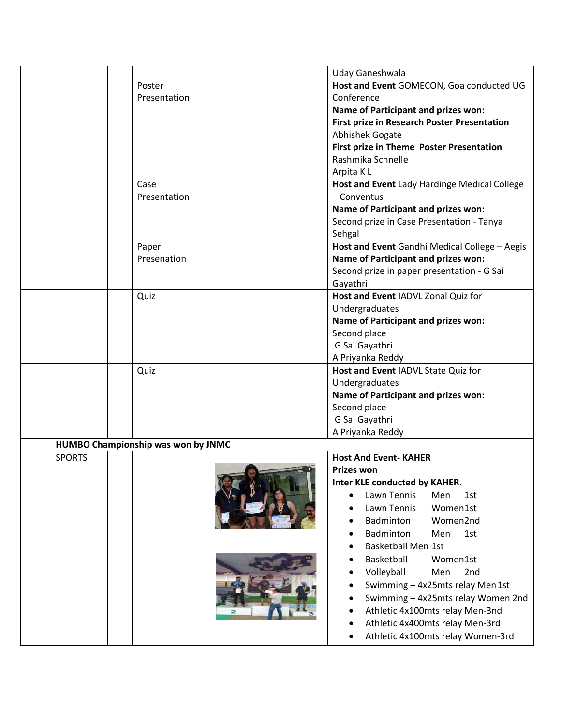|               |                                    | Uday Ganeshwala                               |
|---------------|------------------------------------|-----------------------------------------------|
|               | Poster                             | Host and Event GOMECON, Goa conducted UG      |
|               | Presentation                       | Conference                                    |
|               |                                    | Name of Participant and prizes won:           |
|               |                                    | First prize in Research Poster Presentation   |
|               |                                    | <b>Abhishek Gogate</b>                        |
|               |                                    | First prize in Theme Poster Presentation      |
|               |                                    | Rashmika Schnelle                             |
|               |                                    | Arpita KL                                     |
|               | Case                               | Host and Event Lady Hardinge Medical College  |
|               | Presentation                       | - Conventus                                   |
|               |                                    | Name of Participant and prizes won:           |
|               |                                    | Second prize in Case Presentation - Tanya     |
|               |                                    | Sehgal                                        |
|               | Paper                              | Host and Event Gandhi Medical College - Aegis |
|               | Presenation                        | Name of Participant and prizes won:           |
|               |                                    | Second prize in paper presentation - G Sai    |
|               |                                    | Gayathri                                      |
|               | Quiz                               | Host and Event IADVL Zonal Quiz for           |
|               |                                    | Undergraduates                                |
|               |                                    | Name of Participant and prizes won:           |
|               |                                    | Second place                                  |
|               |                                    | G Sai Gayathri                                |
|               |                                    | A Priyanka Reddy                              |
|               | Quiz                               | Host and Event IADVL State Quiz for           |
|               |                                    | Undergraduates                                |
|               |                                    | Name of Participant and prizes won:           |
|               |                                    | Second place                                  |
|               |                                    | G Sai Gayathri                                |
|               |                                    | A Priyanka Reddy                              |
|               | HUMBO Championship was won by JNMC |                                               |
| <b>SPORTS</b> |                                    | <b>Host And Event-KAHER</b>                   |
|               |                                    | <b>Prizes won</b>                             |
|               |                                    | Inter KLE conducted by KAHER.                 |
|               |                                    | Lawn Tennis<br>Men<br>1st                     |
|               |                                    | Women1st<br>Lawn Tennis                       |
|               |                                    | Women2nd<br>Badminton                         |
|               |                                    | Badminton<br>Men<br>1st                       |
|               |                                    | <b>Basketball Men 1st</b>                     |
|               |                                    | Basketball<br>Women1st                        |
|               |                                    | Volleyball<br>Men<br>2nd                      |
|               |                                    | Swimming - 4x25mts relay Men1st               |
|               |                                    | Swimming - 4x25mts relay Women 2nd            |
|               |                                    | Athletic 4x100mts relay Men-3nd               |
|               |                                    |                                               |
|               |                                    | Athletic 4x400mts relay Men-3rd               |
|               |                                    | Athletic 4x100mts relay Women-3rd             |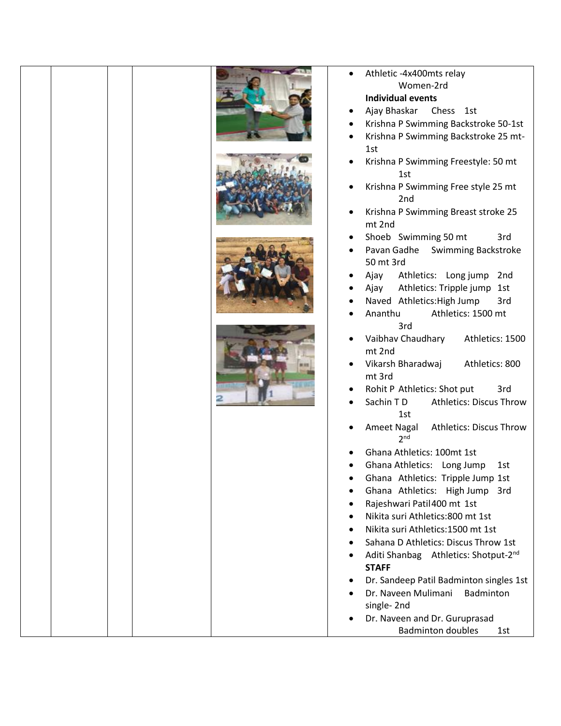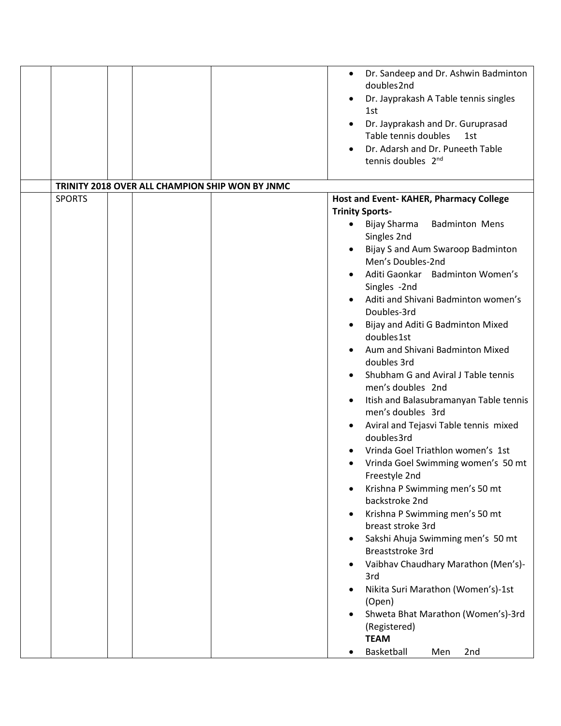|               |  |                                                 | Dr. Sandeep and Dr. Ashwin Badminton<br>٠                |
|---------------|--|-------------------------------------------------|----------------------------------------------------------|
|               |  |                                                 | doubles2nd                                               |
|               |  |                                                 | Dr. Jayprakash A Table tennis singles<br>1st             |
|               |  |                                                 | Dr. Jayprakash and Dr. Guruprasad                        |
|               |  |                                                 | Table tennis doubles<br>1st                              |
|               |  |                                                 | Dr. Adarsh and Dr. Puneeth Table                         |
|               |  |                                                 | tennis doubles 2nd                                       |
|               |  |                                                 |                                                          |
|               |  | TRINITY 2018 OVER ALL CHAMPION SHIP WON BY JNMC |                                                          |
| <b>SPORTS</b> |  |                                                 | Host and Event-KAHER, Pharmacy College                   |
|               |  |                                                 | <b>Trinity Sports-</b>                                   |
|               |  |                                                 | Bijay Sharma<br><b>Badminton Mens</b><br>$\bullet$       |
|               |  |                                                 | Singles 2nd                                              |
|               |  |                                                 | Bijay S and Aum Swaroop Badminton<br>Men's Doubles-2nd   |
|               |  |                                                 | Aditi Gaonkar Badminton Women's                          |
|               |  |                                                 | Singles -2nd                                             |
|               |  |                                                 | Aditi and Shivani Badminton women's                      |
|               |  |                                                 | Doubles-3rd                                              |
|               |  |                                                 | Bijay and Aditi G Badminton Mixed<br>doubles1st          |
|               |  |                                                 | Aum and Shivani Badminton Mixed                          |
|               |  |                                                 | doubles 3rd                                              |
|               |  |                                                 | Shubham G and Aviral J Table tennis<br>men's doubles 2nd |
|               |  |                                                 | Itish and Balasubramanyan Table tennis                   |
|               |  |                                                 | men's doubles 3rd                                        |
|               |  |                                                 | Aviral and Tejasvi Table tennis mixed<br>doubles3rd      |
|               |  |                                                 | Vrinda Goel Triathlon women's 1st                        |
|               |  |                                                 | Vrinda Goel Swimming women's 50 mt                       |
|               |  |                                                 | Freestyle 2nd                                            |
|               |  |                                                 | Krishna P Swimming men's 50 mt<br>backstroke 2nd         |
|               |  |                                                 | Krishna P Swimming men's 50 mt                           |
|               |  |                                                 | breast stroke 3rd                                        |
|               |  |                                                 | Sakshi Ahuja Swimming men's 50 mt                        |
|               |  |                                                 | Breaststroke 3rd                                         |
|               |  |                                                 | Vaibhav Chaudhary Marathon (Men's)-                      |
|               |  |                                                 | 3rd<br>Nikita Suri Marathon (Women's)-1st                |
|               |  |                                                 | (Open)                                                   |
|               |  |                                                 | Shweta Bhat Marathon (Women's)-3rd                       |
|               |  |                                                 | (Registered)                                             |
|               |  |                                                 | <b>TEAM</b>                                              |
|               |  |                                                 | Basketball<br>Men<br>2nd                                 |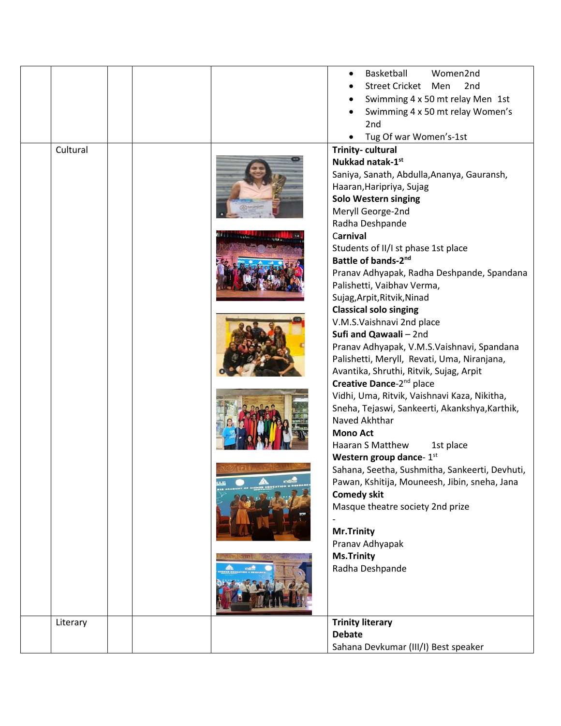|          |  | Basketball<br>Women2nd                         |
|----------|--|------------------------------------------------|
|          |  | Street Cricket Men<br>2 <sub>nd</sub>          |
|          |  | Swimming 4 x 50 mt relay Men 1st               |
|          |  | Swimming 4 x 50 mt relay Women's               |
|          |  | 2nd                                            |
|          |  | Tug Of war Women's-1st                         |
| Cultural |  | <b>Trinity-cultural</b>                        |
|          |  | Nukkad natak-1st                               |
|          |  | Saniya, Sanath, Abdulla, Ananya, Gauransh,     |
|          |  | Haaran, Haripriya, Sujag                       |
|          |  | <b>Solo Western singing</b>                    |
|          |  | Meryll George-2nd                              |
|          |  | Radha Deshpande                                |
|          |  | Carnival                                       |
|          |  | Students of II/I st phase 1st place            |
|          |  | Battle of bands-2nd                            |
|          |  | Pranav Adhyapak, Radha Deshpande, Spandana     |
|          |  | Palishetti, Vaibhav Verma,                     |
|          |  | Sujag, Arpit, Ritvik, Ninad                    |
|          |  | <b>Classical solo singing</b>                  |
|          |  | V.M.S.Vaishnavi 2nd place                      |
|          |  | Sufi and Qawaali - 2nd                         |
|          |  | Pranav Adhyapak, V.M.S.Vaishnavi, Spandana     |
|          |  | Palishetti, Meryll, Revati, Uma, Niranjana,    |
|          |  | Avantika, Shruthi, Ritvik, Sujag, Arpit        |
|          |  | Creative Dance-2 <sup>nd</sup> place           |
|          |  | Vidhi, Uma, Ritvik, Vaishnavi Kaza, Nikitha,   |
|          |  | Sneha, Tejaswi, Sankeerti, Akankshya, Karthik, |
|          |  | Naved Akhthar                                  |
|          |  | <b>Mono Act</b>                                |
|          |  | Haaran S Matthew<br>1st place                  |
|          |  | Western group dance- 1st                       |
|          |  | Sahana, Seetha, Sushmitha, Sankeerti, Devhuti, |
|          |  | Pawan, Kshitija, Mouneesh, Jibin, sneha, Jana  |
|          |  | <b>Comedy skit</b>                             |
|          |  | Masque theatre society 2nd prize               |
|          |  |                                                |
|          |  | Mr.Trinity                                     |
|          |  | Pranav Adhyapak                                |
|          |  | <b>Ms.Trinity</b>                              |
|          |  | Radha Deshpande                                |
|          |  |                                                |
|          |  |                                                |
| Literary |  | <b>Trinity literary</b>                        |
|          |  | <b>Debate</b>                                  |
|          |  | Sahana Devkumar (III/I) Best speaker           |